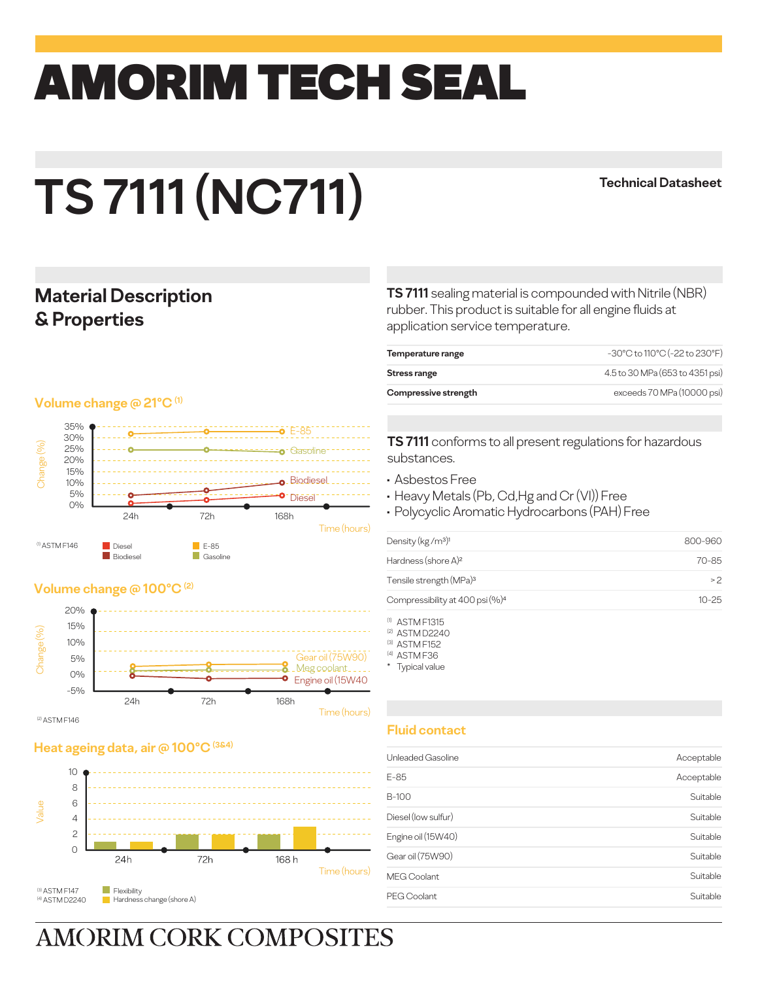## amorim TECH SEAL

# **TS 7111 (NC711)**

#### **Technical Datasheet**

#### **Material Description & Properties**

#### **Volume change @ 21°C (1)**



#### **Volume change @ 100°C (2)**



#### **Heat ageing data, air @ 100°C (3&4)**



**TS 7111** sealing material is compounded with Nitrile (NBR) rubber. This product is suitable for all engine fluids at application service temperature.

| Temperature range    | -30°C to 110°C (-22 to 230°F)   |
|----------------------|---------------------------------|
| Stress range         | 4.5 to 30 MPa (653 to 4351 psi) |
| Compressive strength | exceeds 70 MPa (10000 psi)      |
|                      |                                 |

**TS 7111** conforms to all present regulations for hazardous substances.

- Asbestos Free
- Heavy Metals (Pb, Cd,Hg and Cr (VI)) Free
- Polycyclic Aromatic Hydrocarbons (PAH) Free

| 800-960   |
|-----------|
| 70-85     |
| >2        |
| $10 - 25$ |
|           |

(1) ASTM F1315

(2) ASTM D2240

(3) ASTM F152 (4) ASTM F36

\* Typical value

#### **Fluid contact**

| Unleaded Gasoline   | Acceptable |
|---------------------|------------|
| $E-85$              | Acceptable |
| B-100               | Suitable   |
| Diesel (low sulfur) | Suitable   |
| Engine oil (15W40)  | Suitable   |
| Gear oil (75W90)    | Suitable   |
| <b>MEG Coolant</b>  | Suitable   |
| PEG Coolant         | Suitable   |
|                     |            |

## **AMORIM CORK COMPOSITES**